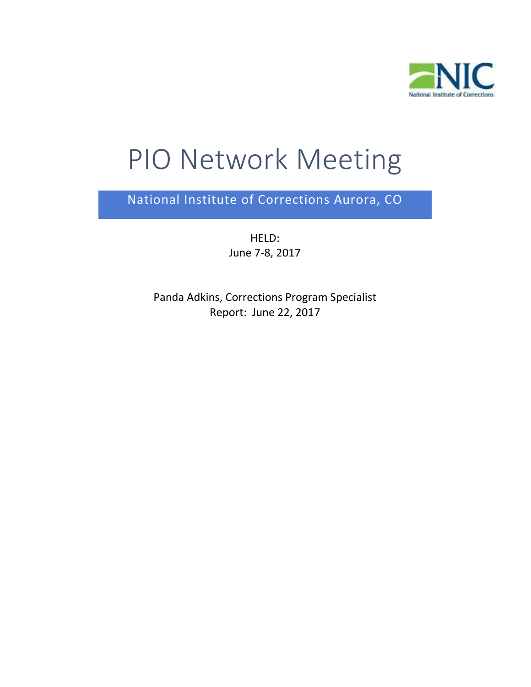

National Institute of Corrections Aurora, CO

HELD: June 7-8, 2017

Panda Adkins, Corrections Program Specialist Report: June 22, 2017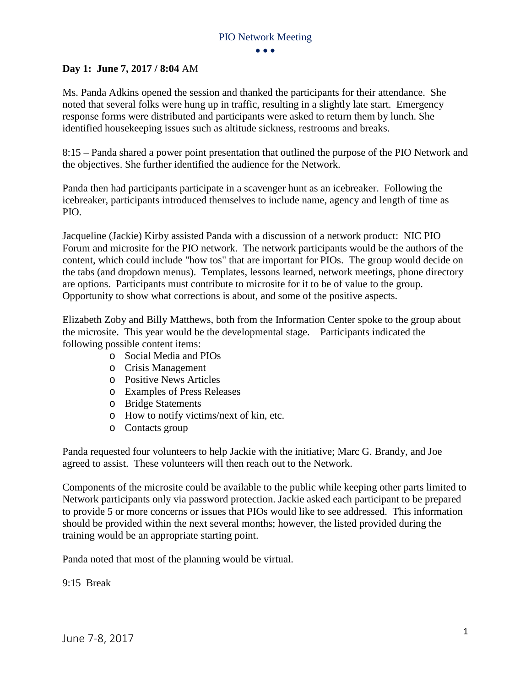#### PIO Network Meeting • • •

## **Day 1: June 7, 2017 / 8:04** AM

Ms. Panda Adkins opened the session and thanked the participants for their attendance. She noted that several folks were hung up in traffic, resulting in a slightly late start. Emergency response forms were distributed and participants were asked to return them by lunch. She identified housekeeping issues such as altitude sickness, restrooms and breaks.

8:15 – Panda shared a power point presentation that outlined the purpose of the PIO Network and the objectives. She further identified the audience for the Network.

Panda then had participants participate in a scavenger hunt as an icebreaker. Following the icebreaker, participants introduced themselves to include name, agency and length of time as PIO.

Jacqueline (Jackie) Kirby assisted Panda with a discussion of a network product: NIC PIO Forum and microsite for the PIO network. The network participants would be the authors of the content, which could include "how tos" that are important for PIOs. The group would decide on the tabs (and dropdown menus). Templates, lessons learned, network meetings, phone directory are options. Participants must contribute to microsite for it to be of value to the group. Opportunity to show what corrections is about, and some of the positive aspects.

Elizabeth Zoby and Billy Matthews, both from the Information Center spoke to the group about the microsite. This year would be the developmental stage. Participants indicated the following possible content items:

- o Social Media and PIOs
- o Crisis Management
- o Positive News Articles
- o Examples of Press Releases
- o Bridge Statements
- o How to notify victims/next of kin, etc.
- o Contacts group

Panda requested four volunteers to help Jackie with the initiative; Marc G. Brandy, and Joe agreed to assist. These volunteers will then reach out to the Network.

Components of the microsite could be available to the public while keeping other parts limited to Network participants only via password protection. Jackie asked each participant to be prepared to provide 5 or more concerns or issues that PIOs would like to see addressed. This information should be provided within the next several months; however, the listed provided during the training would be an appropriate starting point.

Panda noted that most of the planning would be virtual.

9:15 Break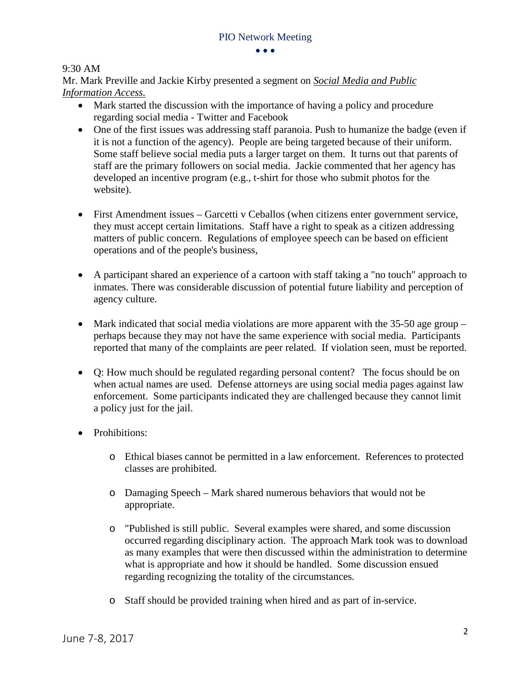#### 9:30 AM

Mr. Mark Preville and Jackie Kirby presented a segment on *Social Media and Public Information Access.*

- Mark started the discussion with the importance of having a policy and procedure regarding social media - Twitter and Facebook
- One of the first issues was addressing staff paranoia. Push to humanize the badge (even if it is not a function of the agency). People are being targeted because of their uniform. Some staff believe social media puts a larger target on them. It turns out that parents of staff are the primary followers on social media. Jackie commented that her agency has developed an incentive program (e.g., t-shirt for those who submit photos for the website).
- First Amendment issues Garcetti v Ceballos (when citizens enter government service, they must accept certain limitations. Staff have a right to speak as a citizen addressing matters of public concern. Regulations of employee speech can be based on efficient operations and of the people's business,
- A participant shared an experience of a cartoon with staff taking a "no touch" approach to inmates. There was considerable discussion of potential future liability and perception of agency culture.
- Mark indicated that social media violations are more apparent with the 35-50 age group perhaps because they may not have the same experience with social media. Participants reported that many of the complaints are peer related. If violation seen, must be reported.
- Q: How much should be regulated regarding personal content? The focus should be on when actual names are used. Defense attorneys are using social media pages against law enforcement. Some participants indicated they are challenged because they cannot limit a policy just for the jail.
- Prohibitions:
	- o Ethical biases cannot be permitted in a law enforcement. References to protected classes are prohibited.
	- o Damaging Speech Mark shared numerous behaviors that would not be appropriate.
	- o "Published is still public. Several examples were shared, and some discussion occurred regarding disciplinary action. The approach Mark took was to download as many examples that were then discussed within the administration to determine what is appropriate and how it should be handled. Some discussion ensued regarding recognizing the totality of the circumstances.
	- o Staff should be provided training when hired and as part of in-service.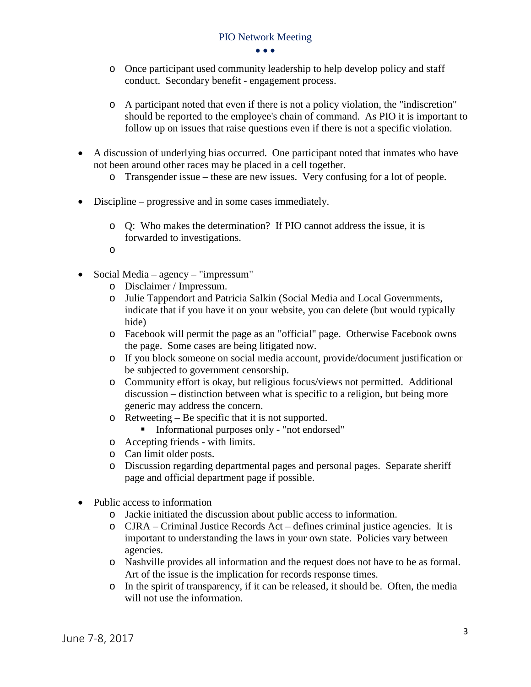• • •

- o Once participant used community leadership to help develop policy and staff conduct. Secondary benefit - engagement process.
- o A participant noted that even if there is not a policy violation, the "indiscretion" should be reported to the employee's chain of command. As PIO it is important to follow up on issues that raise questions even if there is not a specific violation.
- A discussion of underlying bias occurred. One participant noted that inmates who have not been around other races may be placed in a cell together.
	- o Transgender issue these are new issues. Very confusing for a lot of people.
- Discipline progressive and in some cases immediately.
	- o Q: Who makes the determination? If PIO cannot address the issue, it is forwarded to investigations.
	- o
- Social Media agency "impressum"
	- o Disclaimer / Impressum.
	- o Julie Tappendort and Patricia Salkin (Social Media and Local Governments, indicate that if you have it on your website, you can delete (but would typically hide)
	- o Facebook will permit the page as an "official" page. Otherwise Facebook owns the page. Some cases are being litigated now.
	- o If you block someone on social media account, provide/document justification or be subjected to government censorship.
	- o Community effort is okay, but religious focus/views not permitted. Additional discussion – distinction between what is specific to a religion, but being more generic may address the concern.
	- o Retweeting Be specific that it is not supported.
		- **Informational purposes only "not endorsed"**
	- o Accepting friends with limits.
	- o Can limit older posts.
	- o Discussion regarding departmental pages and personal pages. Separate sheriff page and official department page if possible.
- Public access to information
	- o Jackie initiated the discussion about public access to information.
	- o CJRA Criminal Justice Records Act defines criminal justice agencies. It is important to understanding the laws in your own state. Policies vary between agencies.
	- o Nashville provides all information and the request does not have to be as formal. Art of the issue is the implication for records response times.
	- o In the spirit of transparency, if it can be released, it should be. Often, the media will not use the information.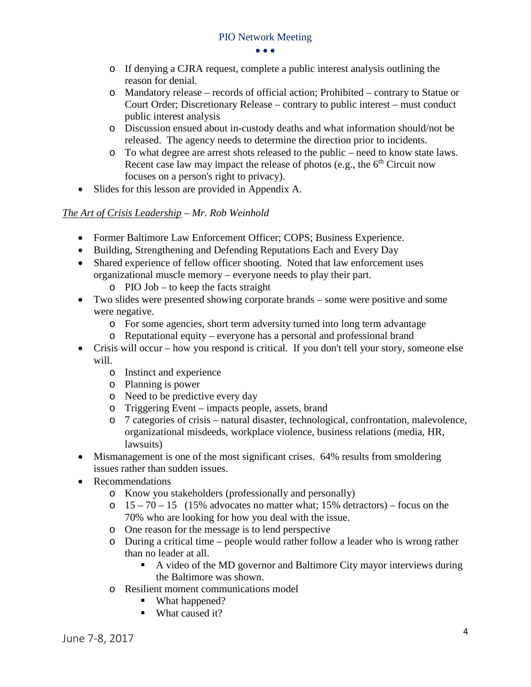• • •

- o If denying a CJRA request, complete a public interest analysis outlining the reason for denial.
- o Mandatory release records of official action; Prohibited contrary to Statue or Court Order; Discretionary Release – contrary to public interest – must conduct public interest analysis
- o Discussion ensued about in-custody deaths and what information should/not be released. The agency needs to determine the direction prior to incidents.
- o To what degree are arrest shots released to the public need to know state laws. Recent case law may impact the release of photos (e.g., the  $6<sup>th</sup>$  Circuit now focuses on a person's right to privacy).
- Slides for this lesson are provided in Appendix A.

# *The Art of Crisis Leadership – Mr. Rob Weinhold*

- Former Baltimore Law Enforcement Officer; COPS; Business Experience.
- Building, Strengthening and Defending Reputations Each and Every Day
- Shared experience of fellow officer shooting. Noted that law enforcement uses organizational muscle memory – everyone needs to play their part.
	- o PIO Job to keep the facts straight
- Two slides were presented showing corporate brands some were positive and some were negative.
	- o For some agencies, short term adversity turned into long term advantage
	- o Reputational equity everyone has a personal and professional brand
- Crisis will occur how you respond is critical. If you don't tell your story, someone else will.
	- o Instinct and experience
	- o Planning is power
	- o Need to be predictive every day
	- o Triggering Event impacts people, assets, brand
	- o 7 categories of crisis natural disaster, technological, confrontation, malevolence, organizational misdeeds, workplace violence, business relations (media, HR, lawsuits)
- Mismanagement is one of the most significant crises. 64% results from smoldering issues rather than sudden issues.
- Recommendations
	- o Know you stakeholders (professionally and personally)
	- $\circ$  15 70 15 (15% advocates no matter what; 15% detractors) focus on the 70% who are looking for how you deal with the issue.
	- o One reason for the message is to lend perspective
	- o During a critical time people would rather follow a leader who is wrong rather than no leader at all.
		- A video of the MD governor and Baltimore City mayor interviews during the Baltimore was shown.
	- o Resilient moment communications model
		- What happened?
		- What caused it?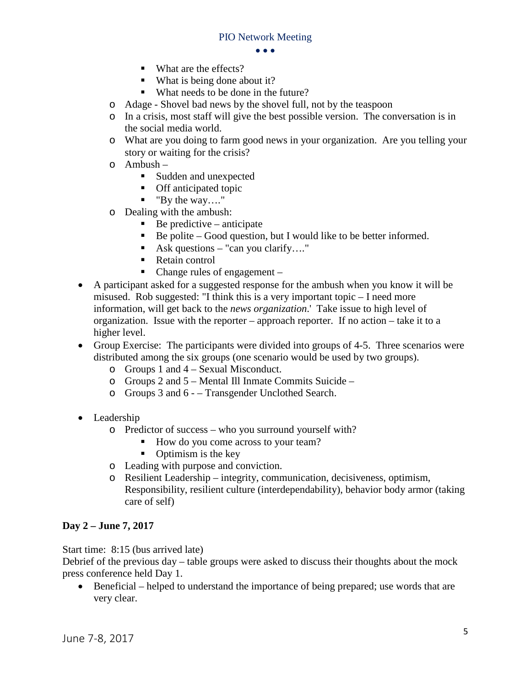• • •

- What are the effects?
- What is being done about it?
- What needs to be done in the future?
- o Adage Shovel bad news by the shovel full, not by the teaspoon
- o In a crisis, most staff will give the best possible version. The conversation is in the social media world.
- o What are you doing to farm good news in your organization. Are you telling your story or waiting for the crisis?
- o Ambush
	- Sudden and unexpected
	- **Off** anticipated topic
	- $\blacksquare$  "By the way...."
- o Dealing with the ambush:
	- $\blacksquare$  Be predictive anticipate
	- $\blacksquare$  Be polite Good question, but I would like to be better informed.
	- Ask questions "can you clarify...."
	- Retain control
	- $\blacksquare$  Change rules of engagement –
- A participant asked for a suggested response for the ambush when you know it will be misused. Rob suggested: "I think this is a very important topic – I need more information, will get back to the *news organization*.' Take issue to high level of organization. Issue with the reporter – approach reporter. If no action – take it to a higher level.
- Group Exercise: The participants were divided into groups of 4-5. Three scenarios were distributed among the six groups (one scenario would be used by two groups).
	- o Groups 1 and 4 Sexual Misconduct.
	- o Groups 2 and 5 Mental Ill Inmate Commits Suicide –
	- o Groups 3 and 6 – Transgender Unclothed Search.
- Leadership
	- o Predictor of success who you surround yourself with?
		- How do you come across to your team?
		- $\blacksquare$  Optimism is the key
	- o Leading with purpose and conviction.
	- o Resilient Leadership integrity, communication, decisiveness, optimism, Responsibility, resilient culture (interdependability), behavior body armor (taking care of self)

#### **Day 2 – June 7, 2017**

Start time: 8:15 (bus arrived late)

Debrief of the previous day – table groups were asked to discuss their thoughts about the mock press conference held Day 1.

• Beneficial – helped to understand the importance of being prepared; use words that are very clear.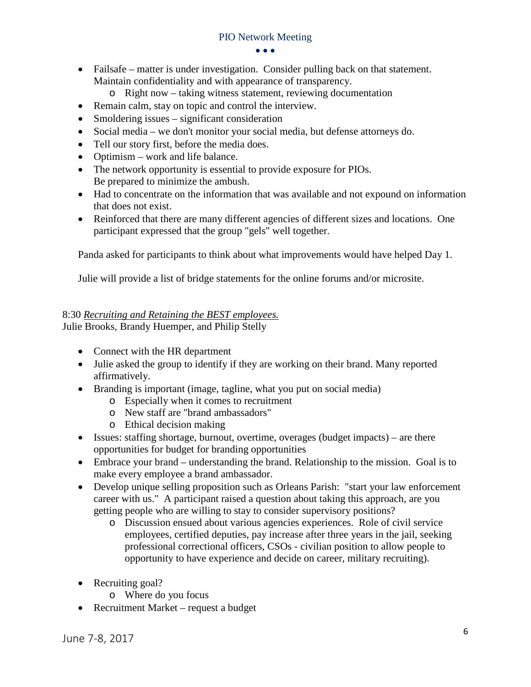• • •

- Failsafe matter is under investigation. Consider pulling back on that statement. Maintain confidentiality and with appearance of transparency.
	- o Right now taking witness statement, reviewing documentation
- Remain calm, stay on topic and control the interview.
- Smoldering issues significant consideration
- Social media we don't monitor your social media, but defense attorneys do.
- Tell our story first, before the media does.
- Optimism work and life balance.
- The network opportunity is essential to provide exposure for PIOs. Be prepared to minimize the ambush.
- Had to concentrate on the information that was available and not expound on information that does not exist.
- Reinforced that there are many different agencies of different sizes and locations. One participant expressed that the group "gels" well together.

Panda asked for participants to think about what improvements would have helped Day 1.

Julie will provide a list of bridge statements for the online forums and/or microsite.

## 8:30 *Recruiting and Retaining the BEST employees.*

Julie Brooks, Brandy Huemper, and Philip Stelly

- Connect with the HR department
- Julie asked the group to identify if they are working on their brand. Many reported affirmatively.
- Branding is important (image, tagline, what you put on social media)
	- o Especially when it comes to recruitment
	- o New staff are "brand ambassadors"
	- o Ethical decision making
- Issues: staffing shortage, burnout, overtime, overages (budget impacts) are there opportunities for budget for branding opportunities
- Embrace your brand understanding the brand. Relationship to the mission. Goal is to make every employee a brand ambassador.
- Develop unique selling proposition such as Orleans Parish: "start your law enforcement career with us." A participant raised a question about taking this approach, are you getting people who are willing to stay to consider supervisory positions?
	- o Discussion ensued about various agencies experiences. Role of civil service employees, certified deputies, pay increase after three years in the jail, seeking professional correctional officers, CSOs - civilian position to allow people to opportunity to have experience and decide on career, military recruiting).
- Recruiting goal?
	- o Where do you focus
- Recruitment Market request a budget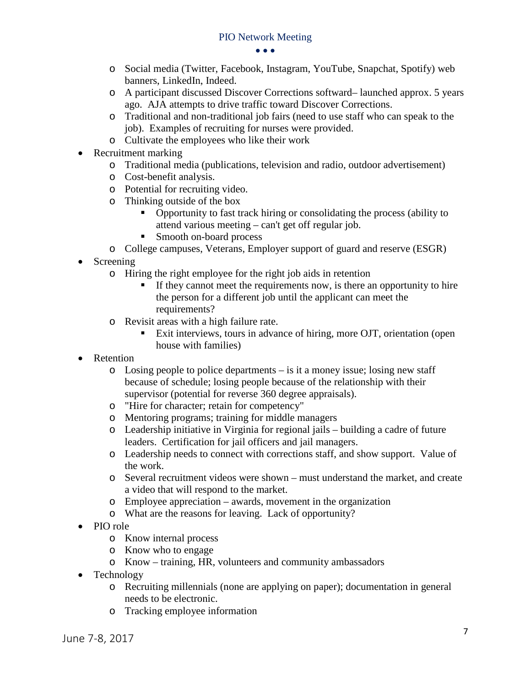• • •

- o Social media (Twitter, Facebook, Instagram, YouTube, Snapchat, Spotify) web banners, LinkedIn, Indeed.
- o A participant discussed Discover Corrections softward– launched approx. 5 years ago. AJA attempts to drive traffic toward Discover Corrections.
- o Traditional and non-traditional job fairs (need to use staff who can speak to the job). Examples of recruiting for nurses were provided.
- o Cultivate the employees who like their work
- Recruitment marking
	- o Traditional media (publications, television and radio, outdoor advertisement)
	- o Cost-benefit analysis.
	- o Potential for recruiting video.
	- o Thinking outside of the box
		- Opportunity to fast track hiring or consolidating the process (ability to attend various meeting – can't get off regular job.
		- Smooth on-board process
	- o College campuses, Veterans, Employer support of guard and reserve (ESGR)
- Screening
	- o Hiring the right employee for the right job aids in retention
		- If they cannot meet the requirements now, is there an opportunity to hire the person for a different job until the applicant can meet the requirements?
	- o Revisit areas with a high failure rate.
		- Exit interviews, tours in advance of hiring, more OJT, orientation (open house with families)
- Retention
	- $\circ$  Losing people to police departments is it a money issue; losing new staff because of schedule; losing people because of the relationship with their supervisor (potential for reverse 360 degree appraisals).
	- o "Hire for character; retain for competency"
	- o Mentoring programs; training for middle managers
	- o Leadership initiative in Virginia for regional jails building a cadre of future leaders. Certification for jail officers and jail managers.
	- o Leadership needs to connect with corrections staff, and show support. Value of the work.
	- o Several recruitment videos were shown must understand the market, and create a video that will respond to the market.
	- o Employee appreciation awards, movement in the organization
	- o What are the reasons for leaving. Lack of opportunity?
- PIO role
	- o Know internal process
	- o Know who to engage
	- o Know training, HR, volunteers and community ambassadors
- Technology
	- o Recruiting millennials (none are applying on paper); documentation in general needs to be electronic.
	- o Tracking employee information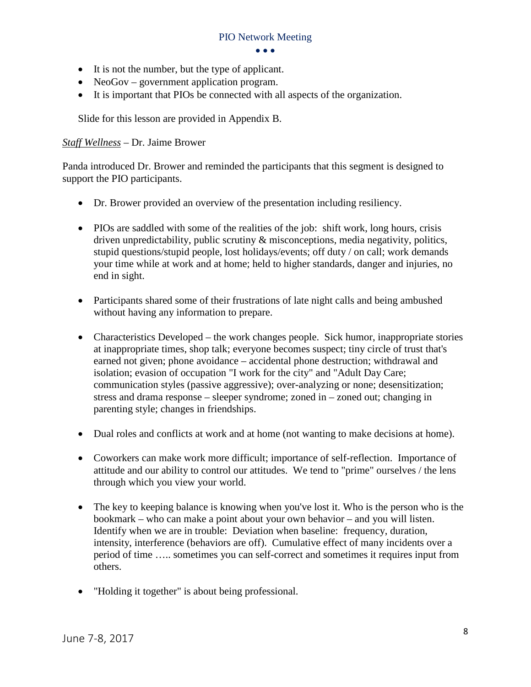• • •

- It is not the number, but the type of applicant.
- NeoGov government application program.
- It is important that PIOs be connected with all aspects of the organization.

Slide for this lesson are provided in Appendix B.

#### *Staff Wellness* – Dr. Jaime Brower

Panda introduced Dr. Brower and reminded the participants that this segment is designed to support the PIO participants.

- Dr. Brower provided an overview of the presentation including resiliency.
- PIOs are saddled with some of the realities of the job: shift work, long hours, crisis driven unpredictability, public scrutiny & misconceptions, media negativity, politics, stupid questions/stupid people, lost holidays/events; off duty / on call; work demands your time while at work and at home; held to higher standards, danger and injuries, no end in sight.
- Participants shared some of their frustrations of late night calls and being ambushed without having any information to prepare.
- Characteristics Developed the work changes people. Sick humor, inappropriate stories at inappropriate times, shop talk; everyone becomes suspect; tiny circle of trust that's earned not given; phone avoidance – accidental phone destruction; withdrawal and isolation; evasion of occupation "I work for the city" and "Adult Day Care; communication styles (passive aggressive); over-analyzing or none; desensitization; stress and drama response – sleeper syndrome; zoned in – zoned out; changing in parenting style; changes in friendships.
- Dual roles and conflicts at work and at home (not wanting to make decisions at home).
- Coworkers can make work more difficult; importance of self-reflection. Importance of attitude and our ability to control our attitudes. We tend to "prime" ourselves / the lens through which you view your world.
- The key to keeping balance is knowing when you've lost it. Who is the person who is the bookmark – who can make a point about your own behavior – and you will listen. Identify when we are in trouble: Deviation when baseline: frequency, duration, intensity, interference (behaviors are off). Cumulative effect of many incidents over a period of time ….. sometimes you can self-correct and sometimes it requires input from others.
- "Holding it together" is about being professional.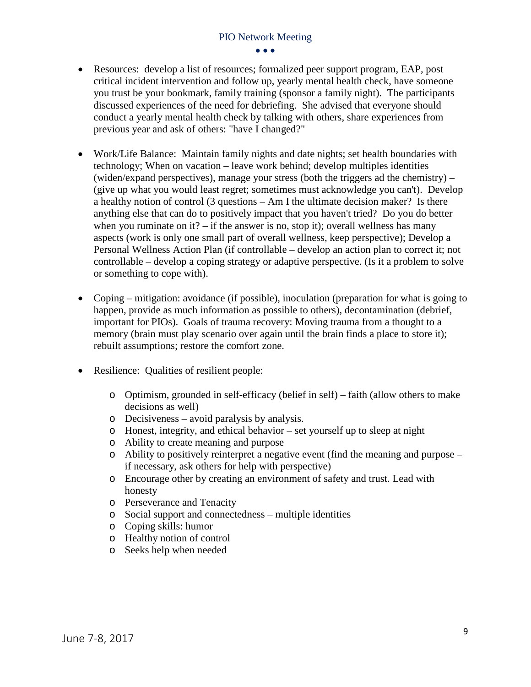• • •

- Resources: develop a list of resources; formalized peer support program, EAP, post critical incident intervention and follow up, yearly mental health check, have someone you trust be your bookmark, family training (sponsor a family night). The participants discussed experiences of the need for debriefing. She advised that everyone should conduct a yearly mental health check by talking with others, share experiences from previous year and ask of others: "have I changed?"
- Work/Life Balance: Maintain family nights and date nights; set health boundaries with technology; When on vacation – leave work behind; develop multiples identities (widen/expand perspectives), manage your stress (both the triggers ad the chemistry) – (give up what you would least regret; sometimes must acknowledge you can't). Develop a healthy notion of control (3 questions – Am I the ultimate decision maker? Is there anything else that can do to positively impact that you haven't tried? Do you do better when you ruminate on it? – if the answer is no, stop it); overall wellness has many aspects (work is only one small part of overall wellness, keep perspective); Develop a Personal Wellness Action Plan (if controllable – develop an action plan to correct it; not controllable – develop a coping strategy or adaptive perspective. (Is it a problem to solve or something to cope with).
- Coping mitigation: avoidance (if possible), inoculation (preparation for what is going to happen, provide as much information as possible to others), decontamination (debrief, important for PIOs). Goals of trauma recovery: Moving trauma from a thought to a memory (brain must play scenario over again until the brain finds a place to store it); rebuilt assumptions; restore the comfort zone.
- Resilience: Qualities of resilient people:
	- o Optimism, grounded in self-efficacy (belief in self) faith (allow others to make decisions as well)
	- o Decisiveness avoid paralysis by analysis.
	- o Honest, integrity, and ethical behavior set yourself up to sleep at night
	- o Ability to create meaning and purpose
	- o Ability to positively reinterpret a negative event (find the meaning and purpose if necessary, ask others for help with perspective)
	- o Encourage other by creating an environment of safety and trust. Lead with honesty
	- o Perseverance and Tenacity
	- o Social support and connectedness multiple identities
	- o Coping skills: humor
	- o Healthy notion of control
	- o Seeks help when needed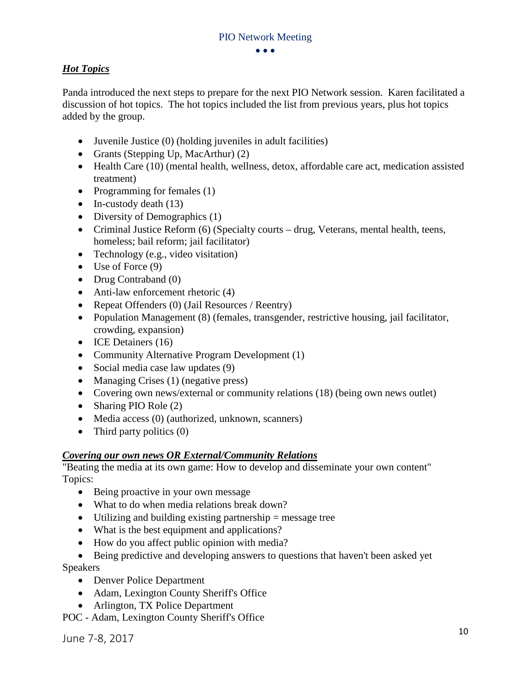# PIO Network Meeting • • •

# *Hot Topics*

Panda introduced the next steps to prepare for the next PIO Network session. Karen facilitated a discussion of hot topics. The hot topics included the list from previous years, plus hot topics added by the group.

- Juvenile Justice (0) (holding juveniles in adult facilities)
- Grants (Stepping Up, MacArthur) (2)
- Health Care (10) (mental health, wellness, detox, affordable care act, medication assisted treatment)
- Programming for females (1)
- In-custody death (13)
- Diversity of Demographics (1)
- Criminal Justice Reform (6) (Specialty courts drug, Veterans, mental health, teens, homeless; bail reform; jail facilitator)
- Technology (e.g., video visitation)
- Use of Force  $(9)$
- Drug Contraband (0)
- Anti-law enforcement rhetoric (4)
- Repeat Offenders (0) (Jail Resources / Reentry)
- Population Management (8) (females, transgender, restrictive housing, jail facilitator, crowding, expansion)
- ICE Detainers (16)
- Community Alternative Program Development (1)
- Social media case law updates (9)
- Managing Crises (1) (negative press)
- Covering own news/external or community relations (18) (being own news outlet)
- Sharing PIO Role (2)
- Media access (0) (authorized, unknown, scanners)
- Third party politics  $(0)$

## *Covering our own news OR External/Community Relations*

"Beating the media at its own game: How to develop and disseminate your own content" Topics:

- Being proactive in your own message
- What to do when media relations break down?
- Utilizing and building existing partnership  $=$  message tree
- What is the best equipment and applications?
- How do you affect public opinion with media?
- Being predictive and developing answers to questions that haven't been asked yet **Speakers** 
	- Denver Police Department
	- Adam, Lexington County Sheriff's Office
	- Arlington, TX Police Department

POC - Adam, Lexington County Sheriff's Office

June 7-8, 2017 <sup>10</sup>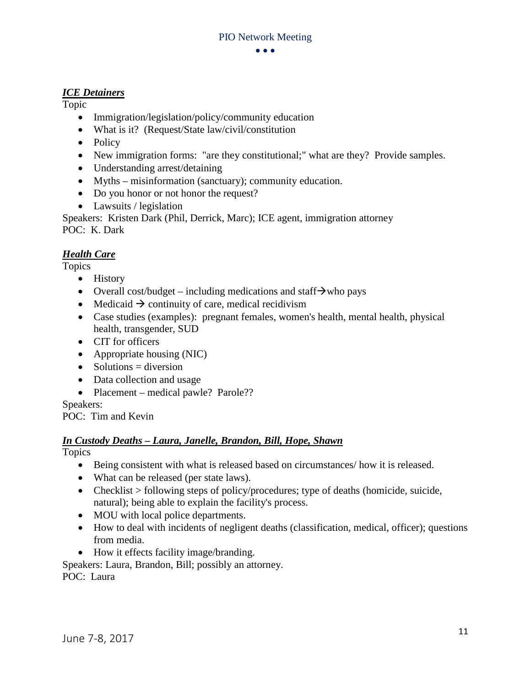# *ICE Detainers*

Topic

- Immigration/legislation/policy/community education
- What is it? (Request/State law/civil/constitution
- Policy
- New immigration forms: "are they constitutional;" what are they? Provide samples.
- Understanding arrest/detaining
- Myths misinformation (sanctuary); community education.
- Do you honor or not honor the request?
- Lawsuits / legislation

Speakers: Kristen Dark (Phil, Derrick, Marc); ICE agent, immigration attorney POC: K. Dark

# *Health Care*

Topics

- History
- Overall cost/budget including medications and staff $\rightarrow$  who pays
- Medicaid  $\rightarrow$  continuity of care, medical recidivism
- Case studies (examples): pregnant females, women's health, mental health, physical health, transgender, SUD
- CIT for officers
- Appropriate housing (NIC)
- Solutions  $=$  diversion
- Data collection and usage
- Placement medical pawle? Parole??

Speakers:

POC: Tim and Kevin

## *In Custody Deaths – Laura, Janelle, Brandon, Bill, Hope, Shawn*

Topics

- Being consistent with what is released based on circumstances/ how it is released.
- What can be released (per state laws).
- Checklist > following steps of policy/procedures; type of deaths (homicide, suicide, natural); being able to explain the facility's process.
- MOU with local police departments.
- How to deal with incidents of negligent deaths (classification, medical, officer); questions from media.
- How it effects facility image/branding.

Speakers: Laura, Brandon, Bill; possibly an attorney. POC: Laura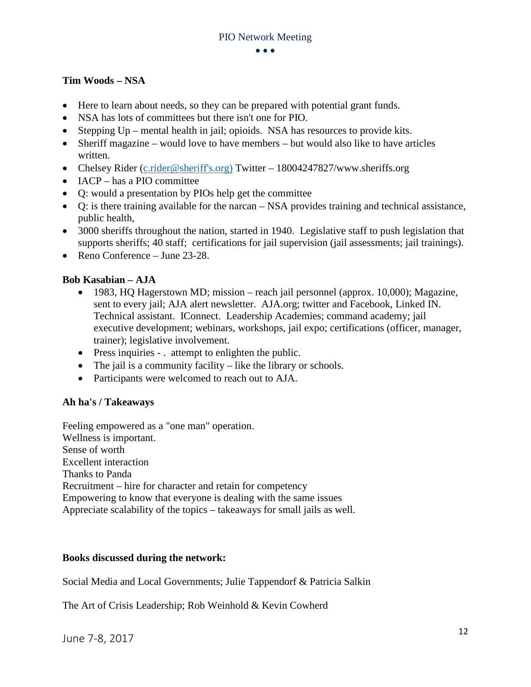## **Tim Woods – NSA**

- Here to learn about needs, so they can be prepared with potential grant funds.
- NSA has lots of committees but there isn't one for PIO.
- Stepping Up mental health in jail; opioids. NSA has resources to provide kits.
- Sheriff magazine would love to have members but would also like to have articles written.
- Chelsey Rider [\(c.rider@sheriff's.org\)](mailto:c.rider@sheriff) Twitter 18004247827/www.sheriffs.org
- IACP has a PIO committee
- Q: would a presentation by PIOs help get the committee
- Q: is there training available for the narcan NSA provides training and technical assistance, public health,
- 3000 sheriffs throughout the nation, started in 1940. Legislative staff to push legislation that supports sheriffs; 40 staff; certifications for jail supervision (jail assessments; jail trainings).
- Reno Conference June 23-28.

#### **Bob Kasabian – AJA**

- 1983, HO Hagerstown MD; mission reach jail personnel (approx. 10,000); Magazine, sent to every jail; AJA alert newsletter. AJA.org; twitter and Facebook, Linked IN. Technical assistant. IConnect. Leadership Academies; command academy; jail executive development; webinars, workshops, jail expo; certifications (officer, manager, trainer); legislative involvement.
- Press inquiries . attempt to enlighten the public.
- The jail is a community facility like the library or schools.
- Participants were welcomed to reach out to AJA.

#### **Ah ha's / Takeaways**

Feeling empowered as a "one man" operation. Wellness is important. Sense of worth Excellent interaction Thanks to Panda Recruitment – hire for character and retain for competency Empowering to know that everyone is dealing with the same issues Appreciate scalability of the topics – takeaways for small jails as well.

#### **Books discussed during the network:**

Social Media and Local Governments; Julie Tappendorf & Patricia Salkin

The Art of Crisis Leadership; Rob Weinhold & Kevin Cowherd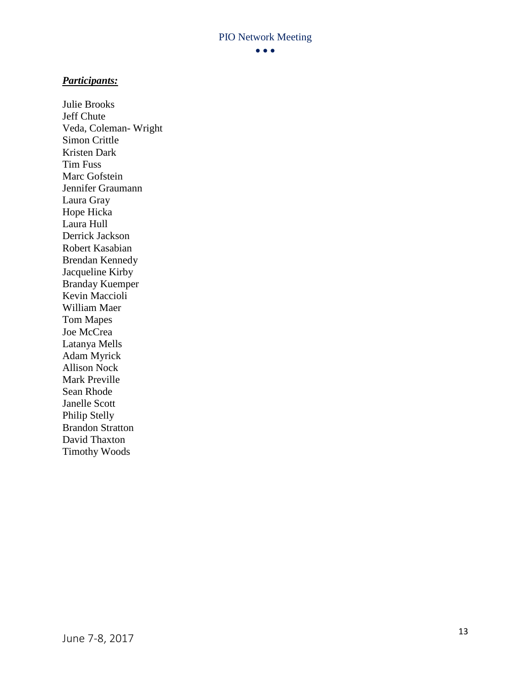#### PIO Network Meeting • • •

#### *Participants:*

Julie Brooks Jeff Chute Veda, Coleman- Wright Simon Crittle Kristen Dark Tim Fuss Marc Gofstein Jennifer Graumann Laura Gray Hope Hicka Laura Hull Derrick Jackson Robert Kasabian Brendan Kennedy Jacqueline Kirby Branday Kuemper Kevin Maccioli William Maer Tom Mapes Joe McCrea Latanya Mells Adam Myrick Allison Nock Mark Preville Sean Rhode Janelle Scott Philip Stelly Brandon Stratton David Thaxton Timothy Woods